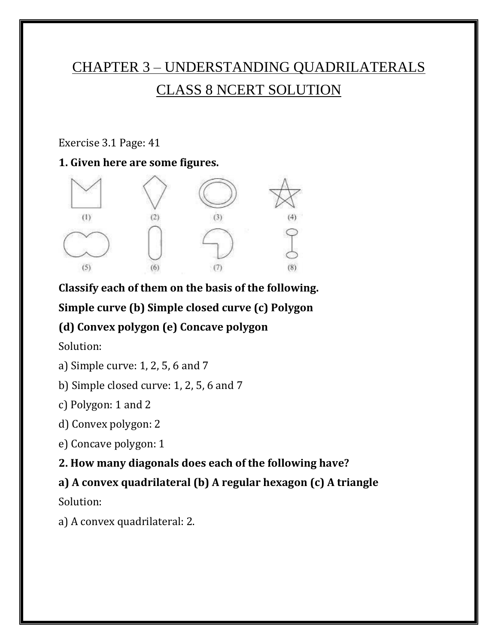# CHAPTER 3 – UNDERSTANDING QUADRILATERALS CLASS 8 NCERT SOLUTION

#### Exercise 3.1 Page: 41

#### **1. Given here are some figures.**



**Classify each of them on the basis of the following.**

## **Simple curve (b) Simple closed curve (c) Polygon**

## **(d) Convex polygon (e) Concave polygon**

Solution:

- a) Simple curve: 1, 2, 5, 6 and 7
- b) Simple closed curve: 1, 2, 5, 6 and 7
- c) Polygon: 1 and 2
- d) Convex polygon: 2
- e) Concave polygon: 1
- **2. How many diagonals does each of the following have?**

## **a) A convex quadrilateral (b) A regular hexagon (c) A triangle**

Solution:

a) A convex quadrilateral: 2.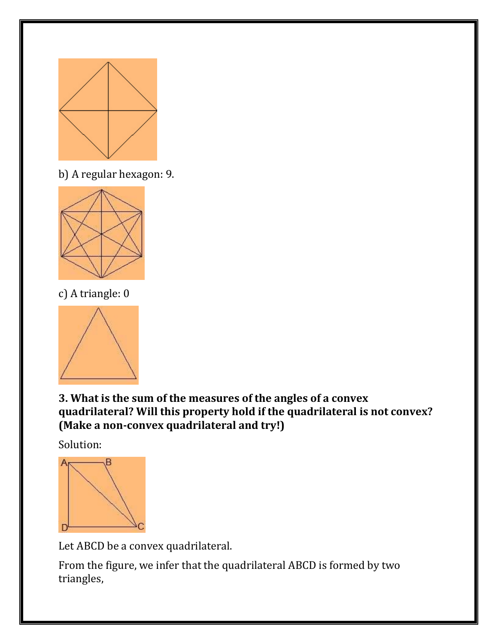

b) A regular hexagon: 9.



c) A triangle: 0



**3. What is the sum of the measures of the angles of a convex quadrilateral? Will this property hold if the quadrilateral is not convex? (Make a non-convex quadrilateral and try!)**

Solution:



Let ABCD be a convex quadrilateral.

From the figure, we infer that the quadrilateral ABCD is formed by two triangles,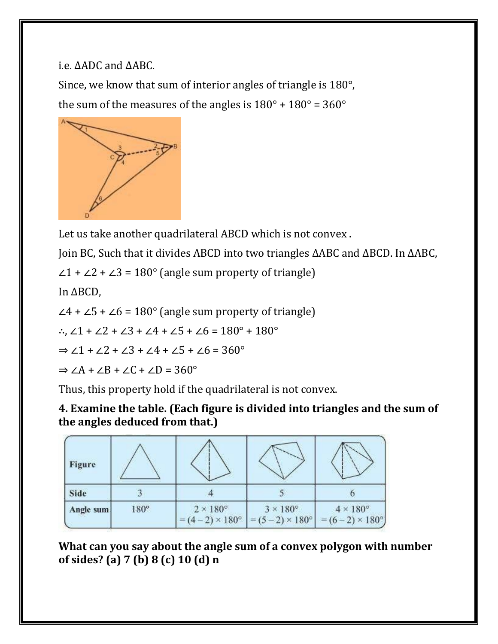i.e. ΔADC and ΔABC.

Since, we know that sum of interior angles of triangle is 180°, the sum of the measures of the angles is  $180^\circ + 180^\circ = 360^\circ$ 



Let us take another quadrilateral ABCD which is not convex .

Join BC, Such that it divides ABCD into two triangles ΔABC and ΔBCD. In ΔABC,

 $\angle$ 1 +  $\angle$ 2 +  $\angle$ 3 = 180 $^{\circ}$  (angle sum property of triangle)

In ΔBCD,

 $\angle$ 4 +  $\angle$ 5 +  $\angle$ 6 = 180 $^{\circ}$  (angle sum property of triangle)

∴, ∠1 + ∠2 + ∠3 + ∠4 + ∠5 + ∠6 = 180 $^{\circ}$  + 180 $^{\circ}$ 

 $\Rightarrow$  ∠1 + ∠2 + ∠3 + ∠4 + ∠5 + ∠6 = 360 $^{\circ}$ 

 $\Rightarrow$  ∠A + ∠B + ∠C + ∠D = 360°

Thus, this property hold if the quadrilateral is not convex.

**4. Examine the table. (Each figure is divided into triangles and the sum of the angles deduced from that.)**

| Figure    |             |                                                    |                                                                                   |                      |
|-----------|-------------|----------------------------------------------------|-----------------------------------------------------------------------------------|----------------------|
| Side      |             |                                                    |                                                                                   |                      |
| Angle sum | $180^\circ$ | $2 \times 180^\circ$<br>$(4-2) \times 180^{\circ}$ | $3 \times 180^\circ$<br>$= (5-2) \times 180^{\circ}$ = $(6-2) \times 180^{\circ}$ | $4 \times 180^\circ$ |

**What can you say about the angle sum of a convex polygon with number of sides? (a) 7 (b) 8 (c) 10 (d) n**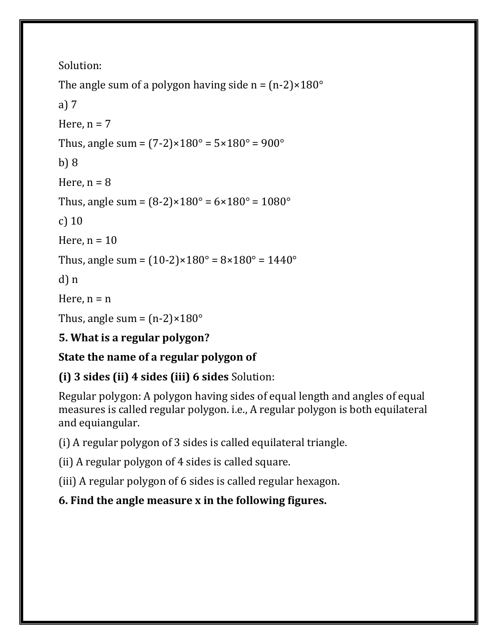```
The angle sum of a polygon having side n = (n-2) \times 180^{\circ}
```

```
a) 7
Here, n = 7Thus, angle sum = (7-2) \times 180^\circ = 5 \times 180^\circ = 900^\circb) 8
Here, n = 8Thus, angle sum = (8-2) \times 180^\circ = 6 \times 180^\circ = 1080^\circc) 10
Here, n = 10Thus, angle sum = (10-2) \times 180^\circ = 8 \times 180^\circ = 1440^\circd) n
Here, n = nThus, angle sum = (n-2) \times 180^\circ
```
# **5. What is a regular polygon?**

# **State the name of a regular polygon of**

# **(i) 3 sides (ii) 4 sides (iii) 6 sides** Solution:

Regular polygon: A polygon having sides of equal length and angles of equal measures is called regular polygon. i.e., A regular polygon is both equilateral and equiangular.

(i) A regular polygon of 3 sides is called equilateral triangle.

(ii) A regular polygon of 4 sides is called square.

(iii) A regular polygon of 6 sides is called regular hexagon.

# **6. Find the angle measure x in the following figures.**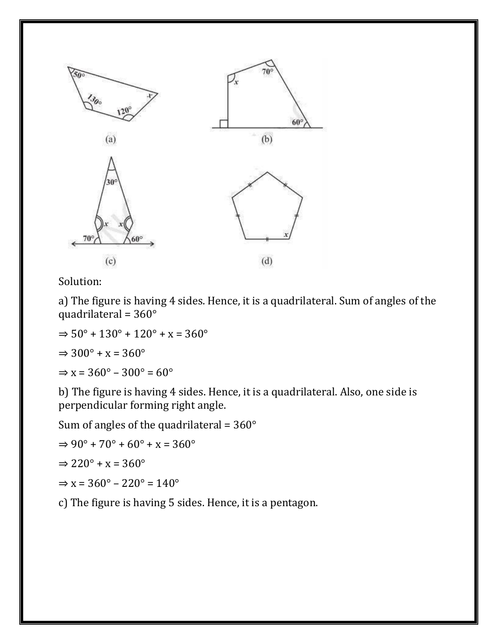

a) The figure is having 4 sides. Hence, it is a quadrilateral. Sum of angles of the quadrilateral = 360°

 $\Rightarrow$  50 $\degree$  + 130 $\degree$  + 120 $\degree$  + x = 360 $\degree$ 

 $\Rightarrow 300^{\circ} + x = 360^{\circ}$ 

 $\Rightarrow$  x = 360 $^{\circ}$  – 300 $^{\circ}$  = 60 $^{\circ}$ 

b) The figure is having 4 sides. Hence, it is a quadrilateral. Also, one side is perpendicular forming right angle.

Sum of angles of the quadrilateral =  $360^\circ$ 

$$
\Rightarrow 90^\circ + 70^\circ + 60^\circ + x = 360^\circ
$$

$$
\Rightarrow 220^{\circ} + x = 360^{\circ}
$$

$$
\Rightarrow x = 360^\circ - 220^\circ = 140^\circ
$$

c) The figure is having 5 sides. Hence, it is a pentagon.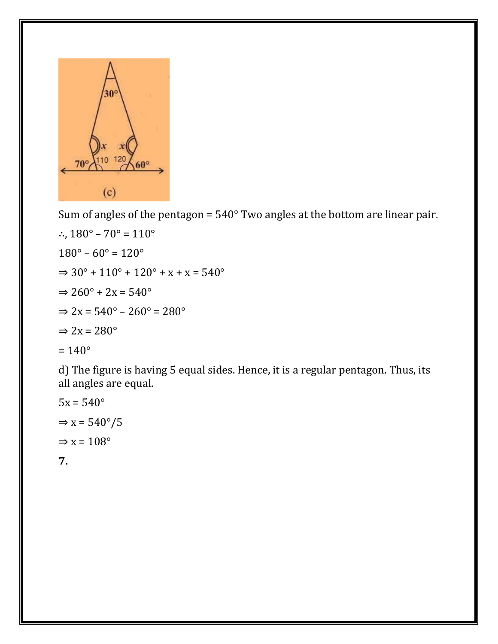

Sum of angles of the pentagon =  $540^{\circ}$  Two angles at the bottom are linear pair.

∴,  $180^{\circ} - 70^{\circ} = 110^{\circ}$  $180^{\circ} - 60^{\circ} = 120^{\circ}$  $\Rightarrow 30^{\circ} + 110^{\circ} + 120^{\circ} + x + x = 540^{\circ}$  $\Rightarrow$  260 $\degree$  + 2x = 540 $\degree$  $\Rightarrow$  2x = 540 $^{\circ}$  – 260 $^{\circ}$  = 280 $^{\circ}$  $\Rightarrow$  2x = 280 $^{\circ}$  $= 140^{\circ}$ 

d) The figure is having 5 equal sides. Hence, it is a regular pentagon. Thus, its all angles are equal.

$$
5x = 540^{\circ}
$$
  
\n
$$
\Rightarrow x = 540^{\circ}/5
$$
  
\n
$$
\Rightarrow x = 108^{\circ}
$$

**7.**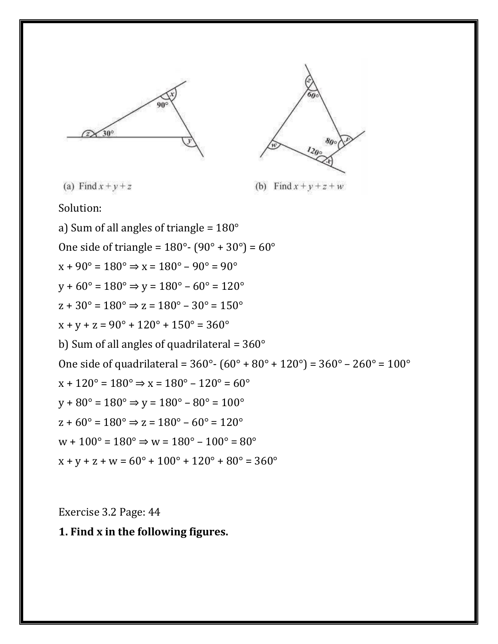909  $30^\circ$ 



(a) Find  $x + y + z$ 

(b) Find  $x+y+z+w$ 

Solution:

a) Sum of all angles of triangle = 180° One side of triangle =  $180^{\circ}$ -  $(90^{\circ} + 30^{\circ}) = 60^{\circ}$  $x + 90^{\circ} = 180^{\circ} \Rightarrow x = 180^{\circ} - 90^{\circ} = 90^{\circ}$  $v + 60^{\circ} = 180^{\circ} \Rightarrow v = 180^{\circ} - 60^{\circ} = 120^{\circ}$  $z + 30^{\circ} = 180^{\circ} \Rightarrow z = 180^{\circ} - 30^{\circ} = 150^{\circ}$  $x + y + z = 90^{\circ} + 120^{\circ} + 150^{\circ} = 360^{\circ}$ b) Sum of all angles of quadrilateral =  $360^\circ$ One side of quadrilateral =  $360^{\circ}$ -  $(60^{\circ} + 80^{\circ} + 120^{\circ})$  =  $360^{\circ}$  –  $260^{\circ}$  =  $100^{\circ}$  $x + 120^{\circ} = 180^{\circ} \Rightarrow x = 180^{\circ} - 120^{\circ} = 60^{\circ}$  $v + 80^{\circ} = 180^{\circ} \Rightarrow v = 180^{\circ} - 80^{\circ} = 100^{\circ}$  $z + 60^{\circ} = 180^{\circ} \Rightarrow z = 180^{\circ} - 60^{\circ} = 120^{\circ}$  $w + 100^{\circ} = 180^{\circ} \Rightarrow w = 180^{\circ} - 100^{\circ} = 80^{\circ}$  $x + v + z + w = 60^{\circ} + 100^{\circ} + 120^{\circ} + 80^{\circ} = 360^{\circ}$ 

Exercise 3.2 Page: 44

**1. Find x in the following figures.**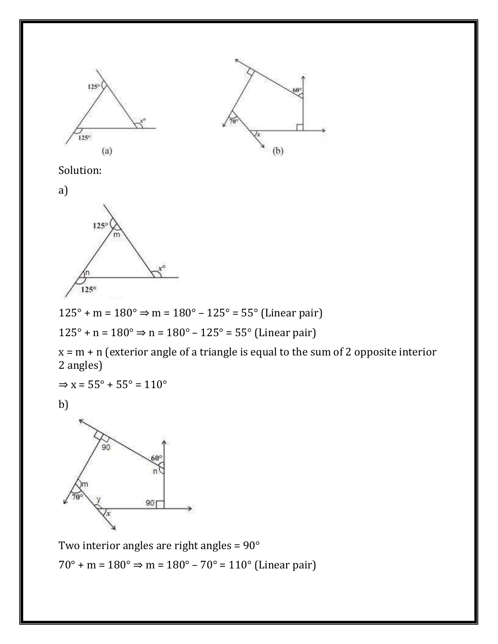



a)



125° + m = 180° ⇒ m = 180° – 125° = 55° (Linear pair)

125° + n = 180° ⇒ n = 180° – 125° = 55° (Linear pair)

 $x = m + n$  (exterior angle of a triangle is equal to the sum of 2 opposite interior 2 angles)

 $\Rightarrow$  x = 55 $\degree$  + 55 $\degree$  = 110 $\degree$ 

b)



Two interior angles are right angles = 90° 70° + m = 180° ⇒ m = 180° – 70° = 110° (Linear pair)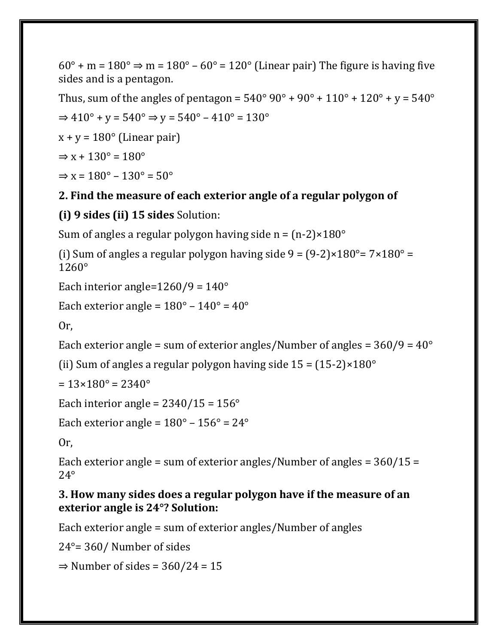$60^\circ$  + m =  $180^\circ$   $\Rightarrow$  m =  $180^\circ$  –  $60^\circ$  =  $120^\circ$  (Linear pair) The figure is having five sides and is a pentagon.

Thus, sum of the angles of pentagon =  $540^{\circ}$  90° +  $90^{\circ}$  +  $110^{\circ}$  +  $120^{\circ}$  +  $v = 540^{\circ}$ 

$$
\Rightarrow 410^{\circ} + y = 540^{\circ} \Rightarrow y = 540^{\circ} - 410^{\circ} = 130^{\circ}
$$

 $x + y = 180^{\circ}$  (Linear pair)

$$
\Rightarrow x + 130^{\circ} = 180^{\circ}
$$

 $\Rightarrow$  x = 180 $^{\circ}$  – 130 $^{\circ}$  = 50 $^{\circ}$ 

#### **2. Find the measure of each exterior angle of a regular polygon of**

#### **(i) 9 sides (ii) 15 sides** Solution:

Sum of angles a regular polygon having side  $n = (n-2) \times 180^\circ$ 

(i) Sum of angles a regular polygon having side  $9 = (9-2) \times 180^\circ = 7 \times 180^\circ =$ 1260°

```
Each interior angle=1260/9 = 140^\circ
```

```
Each exterior angle = 180^\circ - 140^\circ = 40^\circ
```
Or,

Each exterior angle = sum of exterior angles/Number of angles =  $360/9 = 40^{\circ}$ 

(ii) Sum of angles a regular polygon having side  $15 = (15-2) \times 180^\circ$ 

 $= 13 \times 180^{\circ} = 2340^{\circ}$ 

Each interior angle =  $2340/15 = 156^\circ$ 

Each exterior angle =  $180^\circ - 156^\circ = 24^\circ$ 

Or,

Each exterior angle = sum of exterior angles/Number of angles = 360/15 = 24°

#### **3. How many sides does a regular polygon have if the measure of an exterior angle is 24°? Solution:**

Each exterior angle = sum of exterior angles/Number of angles

24°= 360/ Number of sides

 $\Rightarrow$  Number of sides = 360/24 = 15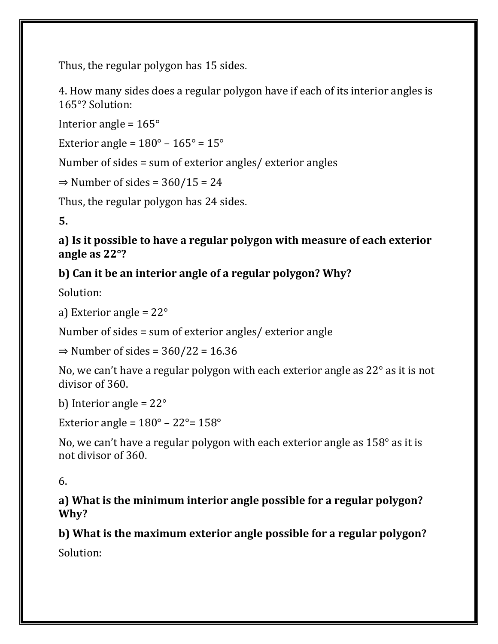Thus, the regular polygon has 15 sides.

4. How many sides does a regular polygon have if each of its interior angles is 165°? Solution:

Interior angle =  $165^\circ$ 

Exterior angle =  $180^\circ - 165^\circ = 15^\circ$ 

Number of sides = sum of exterior angles/ exterior angles

 $\Rightarrow$  Number of sides = 360/15 = 24

Thus, the regular polygon has 24 sides.

**5.**

**a) Is it possible to have a regular polygon with measure of each exterior angle as 22°?**

## **b) Can it be an interior angle of a regular polygon? Why?**

Solution:

a) Exterior angle = 22°

Number of sides = sum of exterior angles/ exterior angle

 $\Rightarrow$  Number of sides = 360/22 = 16.36

No, we can't have a regular polygon with each exterior angle as 22° as it is not divisor of 360.

b) Interior angle =  $22^{\circ}$ 

Exterior angle =  $180^\circ - 22^\circ = 158^\circ$ 

No, we can't have a regular polygon with each exterior angle as 158° as it is not divisor of 360.

6.

**a) What is the minimum interior angle possible for a regular polygon? Why?**

**b) What is the maximum exterior angle possible for a regular polygon?**

Solution: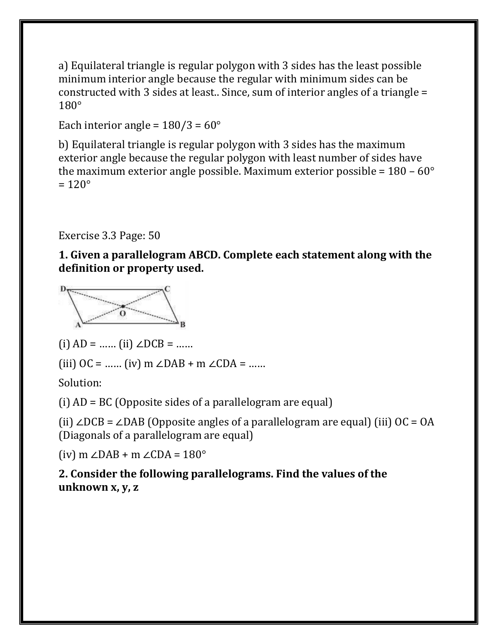a) Equilateral triangle is regular polygon with 3 sides has the least possible minimum interior angle because the regular with minimum sides can be constructed with 3 sides at least.. Since, sum of interior angles of a triangle = 180°

Each interior angle =  $180/3 = 60^{\circ}$ 

b) Equilateral triangle is regular polygon with 3 sides has the maximum exterior angle because the regular polygon with least number of sides have the maximum exterior angle possible. Maximum exterior possible =  $180 - 60^{\circ}$  $= 120^\circ$ 

Exercise 3.3 Page: 50

**1. Given a parallelogram ABCD. Complete each statement along with the definition or property used.**



(i)  $AD =$  …… (ii) ∠DCB = ……

(iii)  $OC =$  …… (iv) m ∠DAB + m ∠CDA = ……

Solution:

(i)  $AD = BC$  (Opposite sides of a parallelogram are equal)

(ii) ∠DCB = ∠DAB (Opposite angles of a parallelogram are equal) (iii)  $OC = OA$ (Diagonals of a parallelogram are equal)

(iv) m ∠DAB + m ∠CDA = 180°

**2. Consider the following parallelograms. Find the values of the unknown x, y, z**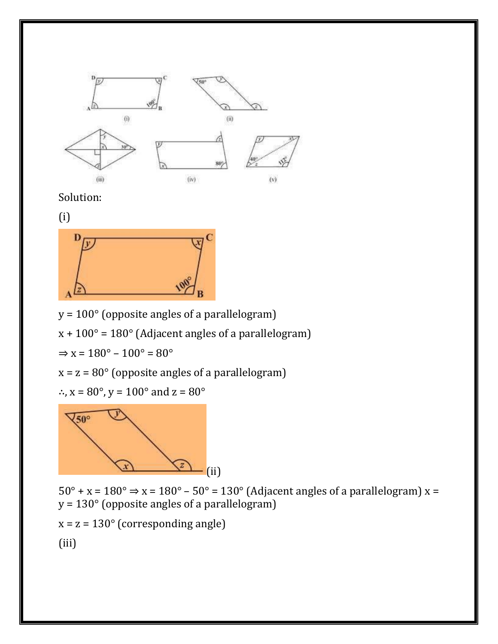

(i)



y = 100° (opposite angles of a parallelogram)

 $x + 100^\circ = 180^\circ$  (Adjacent angles of a parallelogram)

 $\Rightarrow$  x = 180 $^{\circ}$  – 100 $^{\circ}$  = 80 $^{\circ}$ 

 $x = z = 80^\circ$  (opposite angles of a parallelogram)

∴,  $x = 80^\circ$ ,  $y = 100^\circ$  and  $z = 80^\circ$ 



 $50^\circ + x = 180^\circ \Rightarrow x = 180^\circ - 50^\circ = 130^\circ$  (Adjacent angles of a parallelogram) x = y = 130° (opposite angles of a parallelogram)

 $x = z = 130^\circ$  (corresponding angle)

(iii)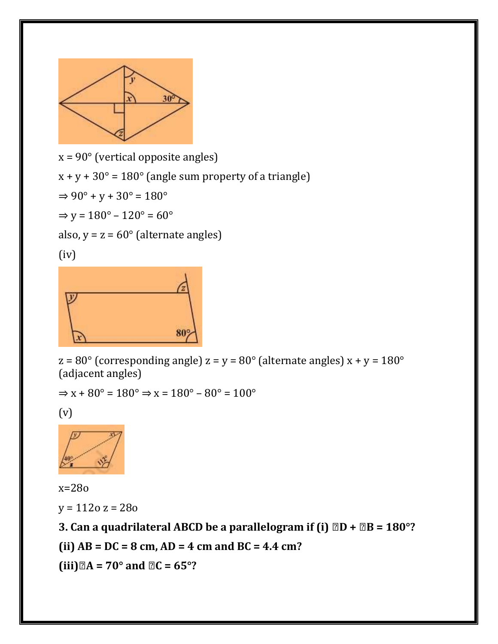

 $x = 90^\circ$  (vertical opposite angles)  $x + y + 30^{\circ} = 180^{\circ}$  (angle sum property of a triangle)  $\Rightarrow 90^{\circ} + y + 30^{\circ} = 180^{\circ}$ 

 $\Rightarrow$  y = 180 $^{\circ}$  – 120 $^{\circ}$  = 60 $^{\circ}$ 

also,  $y = z = 60^\circ$  (alternate angles)

(iv)



 $z = 80^{\circ}$  (corresponding angle)  $z = y = 80^{\circ}$  (alternate angles)  $x + y = 180^{\circ}$ (adjacent angles)

 $\Rightarrow$  x + 80 $^{\circ}$  = 180 $^{\circ}$   $\Rightarrow$  x = 180 $^{\circ}$  – 80 $^{\circ}$  = 100 $^{\circ}$ 

(v)



x=28o  $y = 1120 z = 280$ 

**3. Can a quadrilateral ABCD be a parallelogram if (i) <b>***QD* **+** *QB* = 180°?

**(ii) AB = DC = 8 cm, AD = 4 cm and BC = 4.4 cm?**

 $(iii)$   $\mathbb{Z}A = 70^\circ$  and  $\mathbb{Z}C = 65^\circ$ ?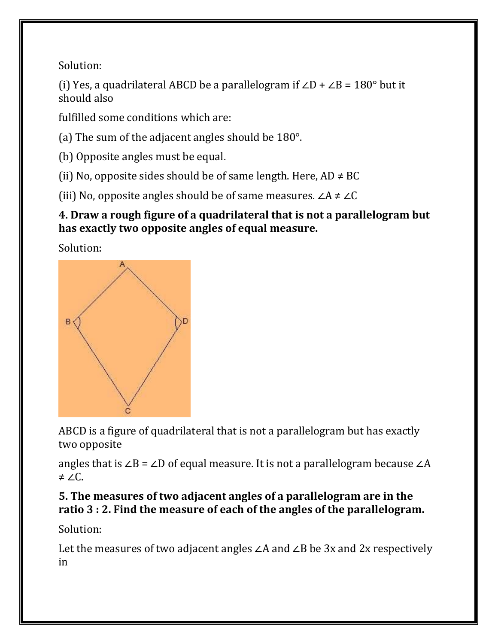(i) Yes, a quadrilateral ABCD be a parallelogram if  $\angle D + \angle B = 180^\circ$  but it should also

fulfilled some conditions which are:

(a) The sum of the adjacent angles should be 180°.

(b) Opposite angles must be equal.

(ii) No, opposite sides should be of same length. Here,  $AD \neq BC$ 

(iii) No, opposite angles should be of same measures.  $\angle A \neq \angle C$ 

## **4. Draw a rough figure of a quadrilateral that is not a parallelogram but has exactly two opposite angles of equal measure.**

Solution:



ABCD is a figure of quadrilateral that is not a parallelogram but has exactly two opposite

angles that is ∠B = ∠D of equal measure. It is not a parallelogram because ∠A ≠ ∠C.

## **5. The measures of two adjacent angles of a parallelogram are in the ratio 3 : 2. Find the measure of each of the angles of the parallelogram.**

Solution:

Let the measures of two adjacent angles ∠A and ∠B be 3x and 2x respectively in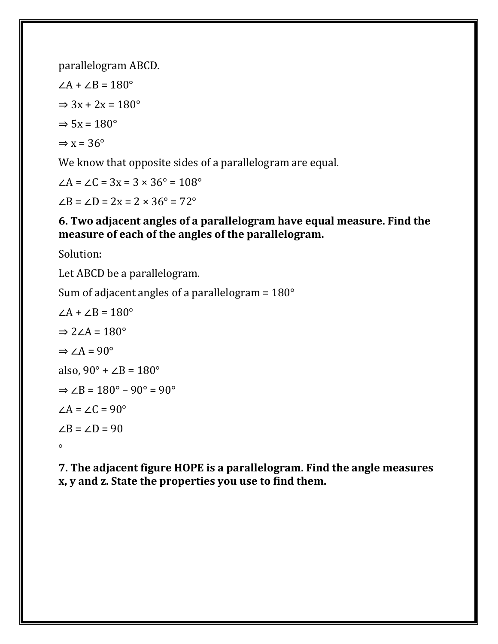parallelogram ABCD.

 $∠A + ∠B = 180°$  $\Rightarrow$  3x + 2x = 180 $^{\circ}$  $\Rightarrow$  5x = 180 $^{\circ}$  $\Rightarrow$  x = 36 $^{\circ}$ 

We know that opposite sides of a parallelogram are equal.

 $\angle A = \angle C = 3x = 3 \times 36^{\circ} = 108^{\circ}$  $∠B = ∠D = 2x = 2 × 36° = 72°$ 

#### **6. Two adjacent angles of a parallelogram have equal measure. Find the measure of each of the angles of the parallelogram.**

Solution:

Let ABCD be a parallelogram.

Sum of adjacent angles of a parallelogram =  $180^\circ$ 

$$
\angle A + \angle B = 180^{\circ}
$$
\n
$$
\Rightarrow 2\angle A = 180^{\circ}
$$
\n
$$
\Rightarrow \angle A = 90^{\circ}
$$
\nalso,  $90^{\circ} + \angle B = 180^{\circ}$   
\n
$$
\Rightarrow \angle B = 180^{\circ} - 90^{\circ} = 90^{\circ}
$$
\n
$$
\angle A = \angle C = 90^{\circ}
$$
\n
$$
\angle B = \angle D = 90
$$

**7. The adjacent figure HOPE is a parallelogram. Find the angle measures x, y and z. State the properties you use to find them.**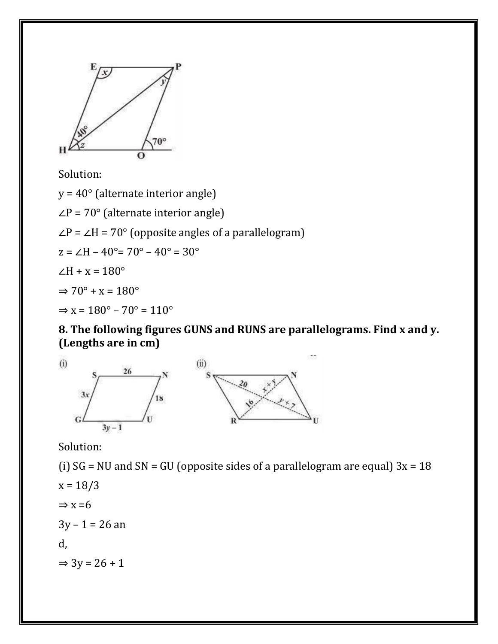

y = 40° (alternate interior angle)

∠P = 70° (alternate interior angle)

 $\angle P = \angle H = 70^{\circ}$  (opposite angles of a parallelogram)

$$
z = \angle H - 40^{\circ} = 70^{\circ} - 40^{\circ} = 30^{\circ}
$$

∠H +  $x = 180^\circ$ 

$$
\Rightarrow 70^{\circ} + x = 180^{\circ}
$$

 $\Rightarrow$  x = 180 $^{\circ}$  – 70 $^{\circ}$  = 110 $^{\circ}$ 

**8. The following figures GUNS and RUNS are parallelograms. Find x and y. (Lengths are in cm)**



Solution:

(i)  $SG = NU$  and  $SN = GU$  (opposite sides of a parallelogram are equal)  $3x = 18$  $x = 18/3$  $\Rightarrow$  x = 6  $3y - 1 = 26$  an d,  $\Rightarrow$  3y = 26 + 1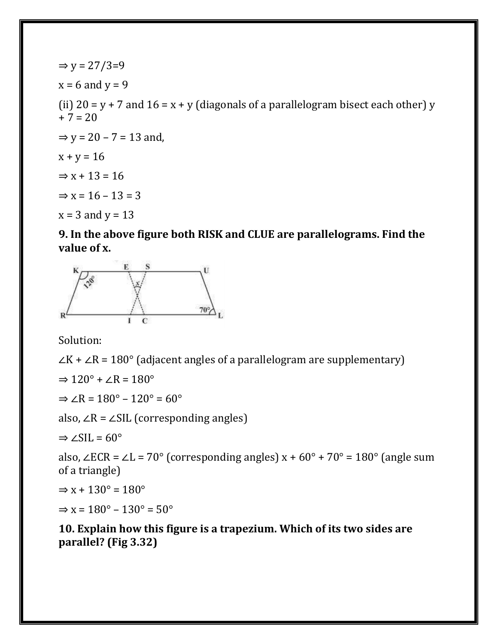$\Rightarrow$  y = 27/3=9  $x = 6$  and  $y = 9$ (ii)  $20 = y + 7$  and  $16 = x + y$  (diagonals of a parallelogram bisect each other) y  $+ 7 = 20$  $\Rightarrow$  y = 20 – 7 = 13 and,  $x + y = 16$  $\Rightarrow$  x + 13 = 16  $\Rightarrow$  x = 16 – 13 = 3  $x = 3$  and  $y = 13$ 

**9. In the above figure both RISK and CLUE are parallelograms. Find the value of x.**



Solution:

 $\angle K + \angle R = 180^\circ$  (adjacent angles of a parallelogram are supplementary)

 $\Rightarrow$  120 $\degree$  +  $\angle$ R = 180 $\degree$ 

 $\Rightarrow$   $\angle R = 180^\circ - 120^\circ = 60^\circ$ 

also, ∠R = ∠SIL (corresponding angles)

 $\Rightarrow$  ∠SIL = 60°

also, ∠ECR = ∠L = 70° (corresponding angles)  $x + 60^\circ + 70^\circ = 180^\circ$  (angle sum of a triangle)

 $\Rightarrow$  x + 130 $\degree$  = 180 $\degree$ 

 $\Rightarrow$  x = 180 $^{\circ}$  – 130 $^{\circ}$  = 50 $^{\circ}$ 

**10. Explain how this figure is a trapezium. Which of its two sides are parallel? (Fig 3.32)**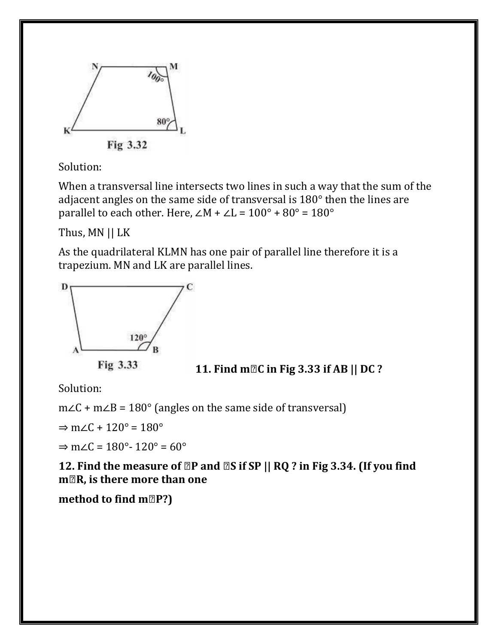

When a transversal line intersects two lines in such a way that the sum of the adjacent angles on the same side of transversal is 180° then the lines are parallel to each other. Here,  $\angle M + \angle L = 100^\circ + 80^\circ = 180^\circ$ 

Thus, MN || LK

As the quadrilateral KLMN has one pair of parallel line therefore it is a trapezium. MN and LK are parallel lines.





Solution:

m∠C + m∠B = 180° (angles on the same side of transversal)

 $\Rightarrow$  m∠C + 120° = 180°

 $\Rightarrow$  m∠C = 180° - 120° = 60°

**12. Find the measure of <b>②P** and **②S** if SP || RQ ? in Fig 3.34. (If you find **m∠R, is there more than one**

**method to find m<b>P?**)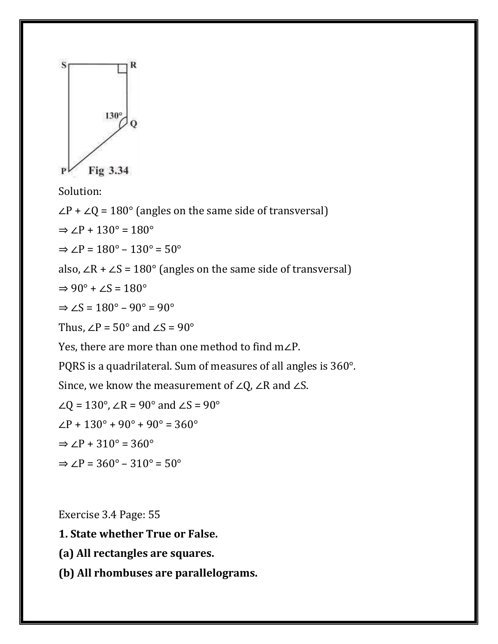

∠P + ∠Q = 180° (angles on the same side of transversal)

 $\Rightarrow$   $\angle P + 130^\circ = 180^\circ$ 

 $\Rightarrow$   $\angle P = 180^\circ - 130^\circ = 50^\circ$ 

also, ∠R + ∠S = 180 $^{\circ}$  (angles on the same side of transversal)

$$
\Rightarrow 90^{\circ} + \angle S = 180^{\circ}
$$

$$
\Rightarrow \angle S = 180^\circ - 90^\circ = 90^\circ
$$

Thus,  $\angle P = 50^\circ$  and  $\angle S = 90^\circ$ 

Yes, there are more than one method to find m∠P.

PQRS is a quadrilateral. Sum of measures of all angles is 360°.

Since, we know the measurement of ∠Q, ∠R and ∠S.

$$
\angle Q = 130^\circ
$$
,  $\angle R = 90^\circ$  and  $\angle S = 90^\circ$   
 $\angle P + 130^\circ + 90^\circ + 90^\circ = 360^\circ$   
 $\Rightarrow \angle P + 310^\circ = 360^\circ$ 

$$
\Rightarrow \angle P = 360^\circ - 310^\circ = 50^\circ
$$

Exercise 3.4 Page: 55

**1. State whether True or False.**

**(a) All rectangles are squares.**

**(b) All rhombuses are parallelograms.**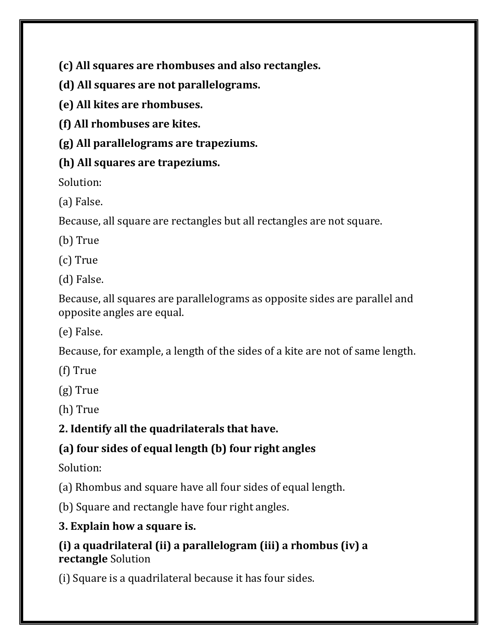**(c) All squares are rhombuses and also rectangles.**

**(d) All squares are not parallelograms.**

**(e) All kites are rhombuses.**

**(f) All rhombuses are kites.**

**(g) All parallelograms are trapeziums.**

## **(h) All squares are trapeziums.**

Solution:

(a) False.

Because, all square are rectangles but all rectangles are not square.

(b) True

(c) True

(d) False.

Because, all squares are parallelograms as opposite sides are parallel and opposite angles are equal.

(e) False.

Because, for example, a length of the sides of a kite are not of same length.

(f) True

(g) True

(h) True

**2. Identify all the quadrilaterals that have.**

# **(a) four sides of equal length (b) four right angles**

Solution:

(a) Rhombus and square have all four sides of equal length.

(b) Square and rectangle have four right angles.

# **3. Explain how a square is.**

## **(i) a quadrilateral (ii) a parallelogram (iii) a rhombus (iv) a rectangle** Solution

(i) Square is a quadrilateral because it has four sides.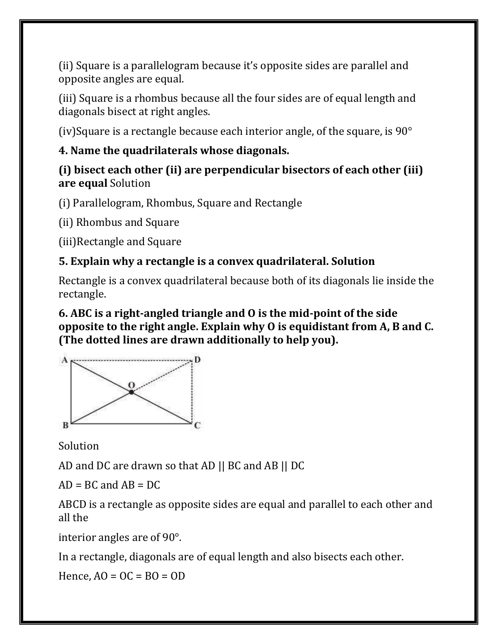(ii) Square is a parallelogram because it's opposite sides are parallel and opposite angles are equal.

(iii) Square is a rhombus because all the four sides are of equal length and diagonals bisect at right angles.

(iv)Square is a rectangle because each interior angle, of the square, is  $90^{\circ}$ 

## **4. Name the quadrilaterals whose diagonals.**

#### **(i) bisect each other (ii) are perpendicular bisectors of each other (iii) are equal** Solution

(i) Parallelogram, Rhombus, Square and Rectangle

(ii) Rhombus and Square

(iii)Rectangle and Square

## **5. Explain why a rectangle is a convex quadrilateral. Solution**

Rectangle is a convex quadrilateral because both of its diagonals lie inside the rectangle.

#### **6. ABC is a right-angled triangle and O is the mid-point of the side opposite to the right angle. Explain why O is equidistant from A, B and C. (The dotted lines are drawn additionally to help you).**



Solution

AD and DC are drawn so that AD || BC and AB || DC

 $AD = BC$  and  $AB = DC$ 

ABCD is a rectangle as opposite sides are equal and parallel to each other and all the

interior angles are of 90°.

In a rectangle, diagonals are of equal length and also bisects each other.

Hence,  $AO = OC = BO = OD$